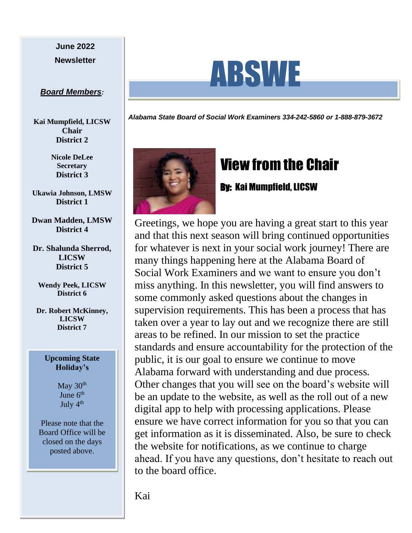# **June 2022**

#### *Board Members:*

**Kai Mumpfield, LICSW Chair District 2**

> **Nicole DeLee Secretary District 3**

**Ukawia Johnson, LMSW District 1**

**Dwan Madden, LMSW District 4**

**Dr. Shalunda Sherrod, LICSW District 5**

**Wendy Peek, LICSW District 6**

**Dr. Robert McKinney, LICSW District 7**

#### **Upcoming State Holiday's**

May  $30<sup>th</sup>$ June  $6<sup>th</sup>$ July  $4<sup>th</sup>$ 

Please note that the Board Office will be closed on the days posted above.



*Alabama State Board of Social Work Examiners 334-242-5860 or 1-888-879-3672*



## View from the Chair

### By: Kai Mumpfield, LICSW

Greetings, we hope you are having a great start to this year and that this next season will bring continued opportunities for whatever is next in your social work journey! There are many things happening here at the Alabama Board of Social Work Examiners and we want to ensure you don't miss anything. In this newsletter, you will find answers to some commonly asked questions about the changes in supervision requirements. This has been a process that has taken over a year to lay out and we recognize there are still areas to be refined. In our mission to set the practice standards and ensure accountability for the protection of the public, it is our goal to ensure we continue to move Alabama forward with understanding and due process. Other changes that you will see on the board's website will be an update to the website, as well as the roll out of a new digital app to help with processing applications. Please ensure we have correct information for you so that you can get information as it is disseminated. Also, be sure to check the website for notifications, as we continue to charge ahead. If you have any questions, don't hesitate to reach out to the board office.

Kai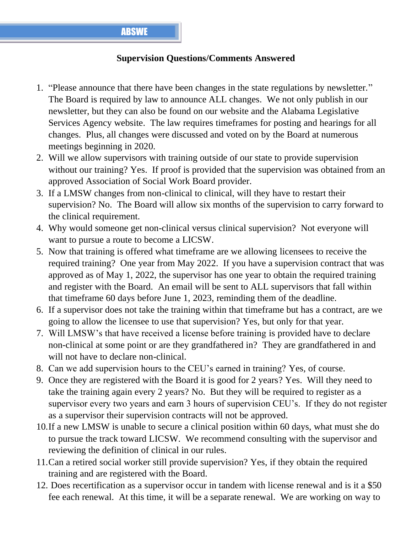### **Supervision Questions/Comments Answered**

- 1. "Please announce that there have been changes in the state regulations by newsletter." The Board is required by law to announce ALL changes. We not only publish in our newsletter, but they can also be found on our website and the Alabama Legislative Services Agency website. The law requires timeframes for posting and hearings for all changes. Plus, all changes were discussed and voted on by the Board at numerous meetings beginning in 2020.
- 2. Will we allow supervisors with training outside of our state to provide supervision without our training? Yes. If proof is provided that the supervision was obtained from an approved Association of Social Work Board provider.
- 3. If a LMSW changes from non-clinical to clinical, will they have to restart their supervision? No. The Board will allow six months of the supervision to carry forward to the clinical requirement.
- 4. Why would someone get non-clinical versus clinical supervision? Not everyone will want to pursue a route to become a LICSW.
- 5. Now that training is offered what timeframe are we allowing licensees to receive the required training? One year from May 2022. If you have a supervision contract that was approved as of May 1, 2022, the supervisor has one year to obtain the required training and register with the Board. An email will be sent to ALL supervisors that fall within that timeframe 60 days before June 1, 2023, reminding them of the deadline.
- 6. If a supervisor does not take the training within that timeframe but has a contract, are we going to allow the licensee to use that supervision? Yes, but only for that year.
- 7. Will LMSW's that have received a license before training is provided have to declare non-clinical at some point or are they grandfathered in? They are grandfathered in and will not have to declare non-clinical.
- 8. Can we add supervision hours to the CEU's earned in training? Yes, of course.
- 9. Once they are registered with the Board it is good for 2 years? Yes. Will they need to take the training again every 2 years? No. But they will be required to register as a supervisor every two years and earn 3 hours of supervision CEU's. If they do not register as a supervisor their supervision contracts will not be approved.
- 10.If a new LMSW is unable to secure a clinical position within 60 days, what must she do to pursue the track toward LICSW. We recommend consulting with the supervisor and reviewing the definition of clinical in our rules.
- 11.Can a retired social worker still provide supervision? Yes, if they obtain the required training and are registered with the Board.
- 12. Does recertification as a supervisor occur in tandem with license renewal and is it a \$50 fee each renewal. At this time, it will be a separate renewal. We are working on way to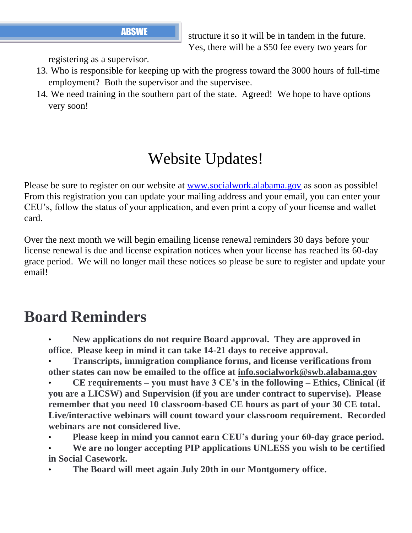**ABSWE** structure it so it will be in tandem in the future. Yes, there will be a \$50 fee every two years for

registering as a supervisor.

- 13. Who is responsible for keeping up with the progress toward the 3000 hours of full-time employment? Both the supervisor and the supervisee.
- 14. We need training in the southern part of the state. Agreed! We hope to have options very soon!

## Website Updates!

Please be sure to register on our website at [www.socialwork.alabama.gov](http://www.socialwork.alabama.gov/) as soon as possible! From this registration you can update your mailing address and your email, you can enter your CEU's, follow the status of your application, and even print a copy of your license and wallet card.

Over the next month we will begin emailing license renewal reminders 30 days before your license renewal is due and license expiration notices when your license has reached its 60-day grace period. We will no longer mail these notices so please be sure to register and update your email!

## **Board Reminders**

- **New applications do not require Board approval. They are approved in office. Please keep in mind it can take 14-21 days to receive approval.**
- **Transcripts, immigration compliance forms, and license verifications from other states can now be emailed to the office at info.socialwork@swb.alabama.gov**
- **CE requirements – you must have 3 CE's in the following – Ethics, Clinical (if you are a LICSW) and Supervision (if you are under contract to supervise). Please remember that you need 10 classroom-based CE hours as part of your 30 CE total. Live/interactive webinars will count toward your classroom requirement. Recorded webinars are not considered live.**
- **Please keep in mind you cannot earn CEU's during your 60-day grace period.**
- **We are no longer accepting PIP applications UNLESS you wish to be certified in Social Casework.**
- **The Board will meet again July 20th in our Montgomery office.**